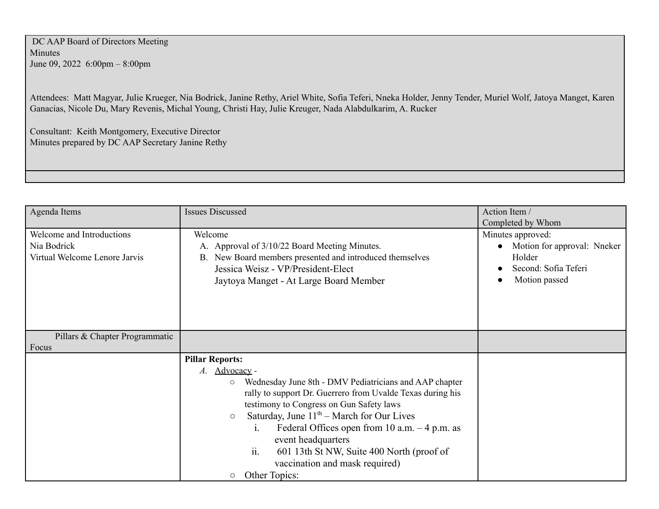DC AAP Board of Directors Meeting Minutes June 09, 2022 6:00pm – 8:00pm

Attendees: Matt Magyar, Julie Krueger, Nia Bodrick, Janine Rethy, Ariel White, Sofia Teferi, Nneka Holder, Jenny Tender, Muriel Wolf, Jatoya Manget, Karen Ganacias, Nicole Du, Mary Revenis, Michal Young, Christi Hay, Julie Kreuger, Nada Alabdulkarim, A. Rucker

Consultant: Keith Montgomery, Executive Director Minutes prepared by DC AAP Secretary Janine Rethy

| Agenda Items                                                              | <b>Issues Discussed</b>                                                                                                                                                                                                                                                                                                                                                                                                                                                                                     | Action Item /                                                                                                            |
|---------------------------------------------------------------------------|-------------------------------------------------------------------------------------------------------------------------------------------------------------------------------------------------------------------------------------------------------------------------------------------------------------------------------------------------------------------------------------------------------------------------------------------------------------------------------------------------------------|--------------------------------------------------------------------------------------------------------------------------|
| Welcome and Introductions<br>Nia Bodrick<br>Virtual Welcome Lenore Jarvis | Welcome<br>A. Approval of 3/10/22 Board Meeting Minutes.<br>B. New Board members presented and introduced themselves<br>Jessica Weisz - VP/President-Elect<br>Jaytoya Manget - At Large Board Member                                                                                                                                                                                                                                                                                                        | Completed by Whom<br>Minutes approved:<br>Motion for approval: Nneker<br>Holder<br>Second: Sofia Teferi<br>Motion passed |
| Pillars & Chapter Programmatic<br>Focus                                   |                                                                                                                                                                                                                                                                                                                                                                                                                                                                                                             |                                                                                                                          |
|                                                                           | <b>Pillar Reports:</b><br>Advocacy -<br>A.<br>Wednesday June 8th - DMV Pediatricians and AAP chapter<br>$\circlearrowright$<br>rally to support Dr. Guerrero from Uvalde Texas during his<br>testimony to Congress on Gun Safety laws<br>Saturday, June $11th$ – March for Our Lives<br>$\circ$<br>Federal Offices open from 10 a.m. $-4$ p.m. as<br>$\mathbf{1}$ .<br>event headquarters<br>ii.<br>601 13th St NW, Suite 400 North (proof of<br>vaccination and mask required)<br>Other Topics:<br>$\circ$ |                                                                                                                          |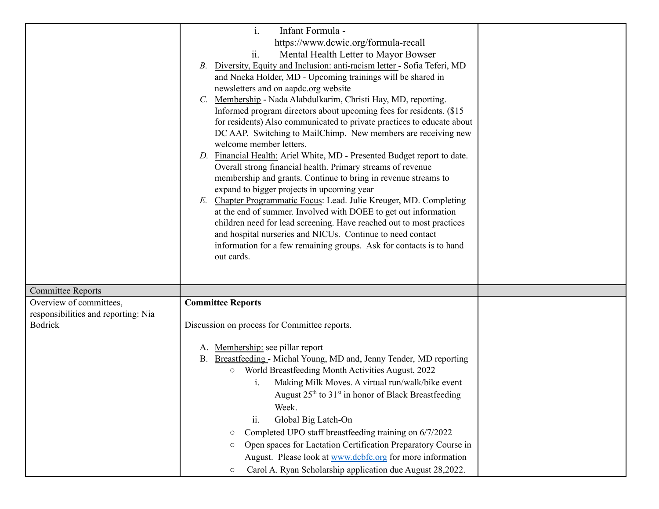|                                                       | $\mathbf{i}$ .<br>Infant Formula -<br>https://www.dcwic.org/formula-recall<br>ii.<br>Mental Health Letter to Mayor Bowser<br>Diversity, Equity and Inclusion: anti-racism letter - Sofia Teferi, MD<br>В.<br>and Nneka Holder, MD - Upcoming trainings will be shared in<br>newsletters and on aapdc.org website<br>Membership - Nada Alabdulkarim, Christi Hay, MD, reporting.<br>$C_{\cdot}$<br>Informed program directors about upcoming fees for residents. (\$15)<br>for residents) Also communicated to private practices to educate about<br>DC AAP. Switching to MailChimp. New members are receiving new<br>welcome member letters.<br>D. Financial Health: Ariel White, MD - Presented Budget report to date.<br>Overall strong financial health. Primary streams of revenue<br>membership and grants. Continue to bring in revenue streams to<br>expand to bigger projects in upcoming year<br>Chapter Programmatic Focus: Lead. Julie Kreuger, MD. Completing<br>E.<br>at the end of summer. Involved with DOEE to get out information<br>children need for lead screening. Have reached out to most practices<br>and hospital nurseries and NICUs. Continue to need contact<br>information for a few remaining groups. Ask for contacts is to hand<br>out cards. |  |
|-------------------------------------------------------|-------------------------------------------------------------------------------------------------------------------------------------------------------------------------------------------------------------------------------------------------------------------------------------------------------------------------------------------------------------------------------------------------------------------------------------------------------------------------------------------------------------------------------------------------------------------------------------------------------------------------------------------------------------------------------------------------------------------------------------------------------------------------------------------------------------------------------------------------------------------------------------------------------------------------------------------------------------------------------------------------------------------------------------------------------------------------------------------------------------------------------------------------------------------------------------------------------------------------------------------------------------------------------|--|
| <b>Committee Reports</b>                              |                                                                                                                                                                                                                                                                                                                                                                                                                                                                                                                                                                                                                                                                                                                                                                                                                                                                                                                                                                                                                                                                                                                                                                                                                                                                               |  |
| Overview of committees,                               | <b>Committee Reports</b>                                                                                                                                                                                                                                                                                                                                                                                                                                                                                                                                                                                                                                                                                                                                                                                                                                                                                                                                                                                                                                                                                                                                                                                                                                                      |  |
| responsibilities and reporting: Nia<br><b>Bodrick</b> | Discussion on process for Committee reports.                                                                                                                                                                                                                                                                                                                                                                                                                                                                                                                                                                                                                                                                                                                                                                                                                                                                                                                                                                                                                                                                                                                                                                                                                                  |  |
|                                                       |                                                                                                                                                                                                                                                                                                                                                                                                                                                                                                                                                                                                                                                                                                                                                                                                                                                                                                                                                                                                                                                                                                                                                                                                                                                                               |  |
|                                                       | A. Membership: see pillar report                                                                                                                                                                                                                                                                                                                                                                                                                                                                                                                                                                                                                                                                                                                                                                                                                                                                                                                                                                                                                                                                                                                                                                                                                                              |  |
|                                                       | B. Breastfeeding - Michal Young, MD and, Jenny Tender, MD reporting                                                                                                                                                                                                                                                                                                                                                                                                                                                                                                                                                                                                                                                                                                                                                                                                                                                                                                                                                                                                                                                                                                                                                                                                           |  |
|                                                       | World Breastfeeding Month Activities August, 2022<br>$\circ$                                                                                                                                                                                                                                                                                                                                                                                                                                                                                                                                                                                                                                                                                                                                                                                                                                                                                                                                                                                                                                                                                                                                                                                                                  |  |
|                                                       | Making Milk Moves. A virtual run/walk/bike event<br>1.                                                                                                                                                                                                                                                                                                                                                                                                                                                                                                                                                                                                                                                                                                                                                                                                                                                                                                                                                                                                                                                                                                                                                                                                                        |  |
|                                                       | August 25 <sup>th</sup> to 31 <sup>st</sup> in honor of Black Breastfeeding<br>Week.                                                                                                                                                                                                                                                                                                                                                                                                                                                                                                                                                                                                                                                                                                                                                                                                                                                                                                                                                                                                                                                                                                                                                                                          |  |
|                                                       | ii.<br>Global Big Latch-On                                                                                                                                                                                                                                                                                                                                                                                                                                                                                                                                                                                                                                                                                                                                                                                                                                                                                                                                                                                                                                                                                                                                                                                                                                                    |  |
|                                                       | Completed UPO staff breastfeeding training on 6/7/2022<br>$\circ$                                                                                                                                                                                                                                                                                                                                                                                                                                                                                                                                                                                                                                                                                                                                                                                                                                                                                                                                                                                                                                                                                                                                                                                                             |  |
|                                                       | Open spaces for Lactation Certification Preparatory Course in<br>$\circ$                                                                                                                                                                                                                                                                                                                                                                                                                                                                                                                                                                                                                                                                                                                                                                                                                                                                                                                                                                                                                                                                                                                                                                                                      |  |
|                                                       | August. Please look at www.dcbfc.org for more information                                                                                                                                                                                                                                                                                                                                                                                                                                                                                                                                                                                                                                                                                                                                                                                                                                                                                                                                                                                                                                                                                                                                                                                                                     |  |
|                                                       | Carol A. Ryan Scholarship application due August 28,2022.<br>$\circ$                                                                                                                                                                                                                                                                                                                                                                                                                                                                                                                                                                                                                                                                                                                                                                                                                                                                                                                                                                                                                                                                                                                                                                                                          |  |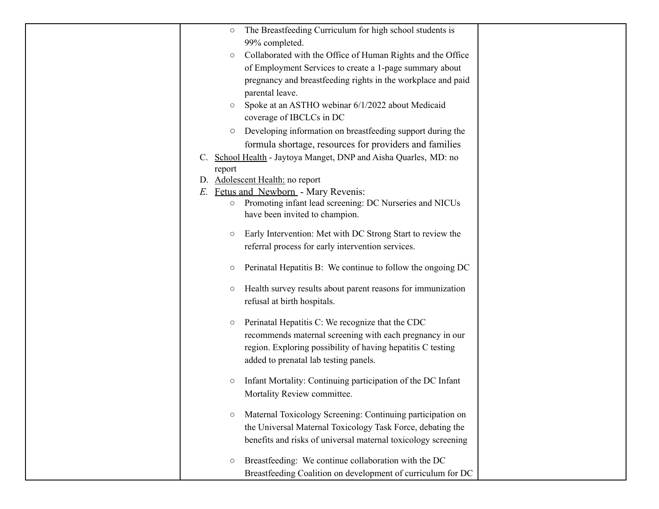| $\circ$ | The Breastfeeding Curriculum for high school students is                                  |  |
|---------|-------------------------------------------------------------------------------------------|--|
|         | 99% completed.                                                                            |  |
| $\circ$ | Collaborated with the Office of Human Rights and the Office                               |  |
|         | of Employment Services to create a 1-page summary about                                   |  |
|         | pregnancy and breastfeeding rights in the workplace and paid                              |  |
|         | parental leave.                                                                           |  |
| $\circ$ | Spoke at an ASTHO webinar 6/1/2022 about Medicaid                                         |  |
|         | coverage of IBCLCs in DC                                                                  |  |
| $\circ$ | Developing information on breastfeeding support during the                                |  |
|         | formula shortage, resources for providers and families                                    |  |
|         | School Health - Jaytoya Manget, DNP and Aisha Quarles, MD: no                             |  |
| report  |                                                                                           |  |
|         | D. Adolescent Health: no report                                                           |  |
| E.      | Fetus and Newborn - Mary Revenis:                                                         |  |
| $\circ$ | Promoting infant lead screening: DC Nurseries and NICUs<br>have been invited to champion. |  |
|         |                                                                                           |  |
| $\circ$ | Early Intervention: Met with DC Strong Start to review the                                |  |
|         | referral process for early intervention services.                                         |  |
| $\circ$ | Perinatal Hepatitis B: We continue to follow the ongoing DC                               |  |
|         |                                                                                           |  |
| $\circ$ | Health survey results about parent reasons for immunization                               |  |
|         | refusal at birth hospitals.                                                               |  |
|         | Perinatal Hepatitis C: We recognize that the CDC                                          |  |
| $\circ$ | recommends maternal screening with each pregnancy in our                                  |  |
|         | region. Exploring possibility of having hepatitis C testing                               |  |
|         | added to prenatal lab testing panels.                                                     |  |
|         |                                                                                           |  |
| O       | Infant Mortality: Continuing participation of the DC Infant                               |  |
|         | Mortality Review committee.                                                               |  |
|         |                                                                                           |  |
| $\circ$ | Maternal Toxicology Screening: Continuing participation on                                |  |
|         | the Universal Maternal Toxicology Task Force, debating the                                |  |
|         | benefits and risks of universal maternal toxicology screening                             |  |
| O       | Breastfeeding: We continue collaboration with the DC                                      |  |
|         | Breastfeeding Coalition on development of curriculum for DC                               |  |
|         |                                                                                           |  |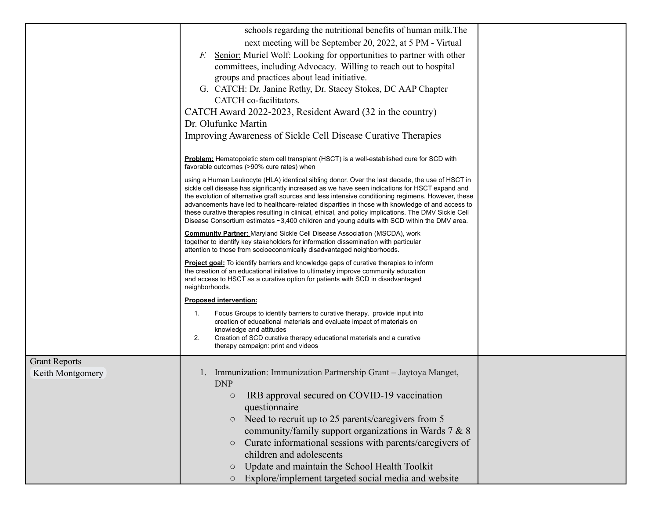|                      | schools regarding the nutritional benefits of human milk. The                                                                                                                                                                                                                                                                                                                                                                                                                                                                                                                                                         |  |
|----------------------|-----------------------------------------------------------------------------------------------------------------------------------------------------------------------------------------------------------------------------------------------------------------------------------------------------------------------------------------------------------------------------------------------------------------------------------------------------------------------------------------------------------------------------------------------------------------------------------------------------------------------|--|
|                      | next meeting will be September 20, 2022, at 5 PM - Virtual                                                                                                                                                                                                                                                                                                                                                                                                                                                                                                                                                            |  |
|                      | Senior: Muriel Wolf: Looking for opportunities to partner with other<br>F.                                                                                                                                                                                                                                                                                                                                                                                                                                                                                                                                            |  |
|                      | committees, including Advocacy. Willing to reach out to hospital                                                                                                                                                                                                                                                                                                                                                                                                                                                                                                                                                      |  |
|                      | groups and practices about lead initiative.                                                                                                                                                                                                                                                                                                                                                                                                                                                                                                                                                                           |  |
|                      | G. CATCH: Dr. Janine Rethy, Dr. Stacey Stokes, DC AAP Chapter                                                                                                                                                                                                                                                                                                                                                                                                                                                                                                                                                         |  |
|                      | CATCH co-facilitators.                                                                                                                                                                                                                                                                                                                                                                                                                                                                                                                                                                                                |  |
|                      | CATCH Award 2022-2023, Resident Award (32 in the country)                                                                                                                                                                                                                                                                                                                                                                                                                                                                                                                                                             |  |
|                      | Dr. Olufunke Martin                                                                                                                                                                                                                                                                                                                                                                                                                                                                                                                                                                                                   |  |
|                      | Improving Awareness of Sickle Cell Disease Curative Therapies                                                                                                                                                                                                                                                                                                                                                                                                                                                                                                                                                         |  |
|                      | Problem: Hematopoietic stem cell transplant (HSCT) is a well-established cure for SCD with<br>favorable outcomes (>90% cure rates) when                                                                                                                                                                                                                                                                                                                                                                                                                                                                               |  |
|                      | using a Human Leukocyte (HLA) identical sibling donor. Over the last decade, the use of HSCT in<br>sickle cell disease has significantly increased as we have seen indications for HSCT expand and<br>the evolution of alternative graft sources and less intensive conditioning regimens. However, these<br>advancements have led to healthcare-related disparities in those with knowledge of and access to<br>these curative therapies resulting in clinical, ethical, and policy implications. The DMV Sickle Cell<br>Disease Consortium estimates ~3,400 children and young adults with SCD within the DMV area. |  |
|                      | <b>Community Partner:</b> Maryland Sickle Cell Disease Association (MSCDA), work<br>together to identify key stakeholders for information dissemination with particular<br>attention to those from socioeconomically disadvantaged neighborhoods.                                                                                                                                                                                                                                                                                                                                                                     |  |
|                      | Project goal: To identify barriers and knowledge gaps of curative therapies to inform<br>the creation of an educational initiative to ultimately improve community education<br>and access to HSCT as a curative option for patients with SCD in disadvantaged<br>neighborhoods.                                                                                                                                                                                                                                                                                                                                      |  |
|                      | <b>Proposed intervention:</b>                                                                                                                                                                                                                                                                                                                                                                                                                                                                                                                                                                                         |  |
|                      | Focus Groups to identify barriers to curative therapy, provide input into<br>1.                                                                                                                                                                                                                                                                                                                                                                                                                                                                                                                                       |  |
|                      | creation of educational materials and evaluate impact of materials on                                                                                                                                                                                                                                                                                                                                                                                                                                                                                                                                                 |  |
|                      | knowledge and attitudes<br>2.<br>Creation of SCD curative therapy educational materials and a curative                                                                                                                                                                                                                                                                                                                                                                                                                                                                                                                |  |
|                      | therapy campaign: print and videos                                                                                                                                                                                                                                                                                                                                                                                                                                                                                                                                                                                    |  |
| <b>Grant Reports</b> |                                                                                                                                                                                                                                                                                                                                                                                                                                                                                                                                                                                                                       |  |
| Keith Montgomery     | Immunization: Immunization Partnership Grant - Jaytoya Manget,<br><b>DNP</b>                                                                                                                                                                                                                                                                                                                                                                                                                                                                                                                                          |  |
|                      | IRB approval secured on COVID-19 vaccination<br>О                                                                                                                                                                                                                                                                                                                                                                                                                                                                                                                                                                     |  |
|                      | questionnaire                                                                                                                                                                                                                                                                                                                                                                                                                                                                                                                                                                                                         |  |
|                      | Need to recruit up to 25 parents/caregivers from 5<br>$\circ$                                                                                                                                                                                                                                                                                                                                                                                                                                                                                                                                                         |  |
|                      | community/family support organizations in Wards 7 & 8                                                                                                                                                                                                                                                                                                                                                                                                                                                                                                                                                                 |  |
|                      | Curate informational sessions with parents/caregivers of<br>$\circ$                                                                                                                                                                                                                                                                                                                                                                                                                                                                                                                                                   |  |
|                      | children and adolescents                                                                                                                                                                                                                                                                                                                                                                                                                                                                                                                                                                                              |  |
|                      | Update and maintain the School Health Toolkit<br>$\circ$                                                                                                                                                                                                                                                                                                                                                                                                                                                                                                                                                              |  |
|                      | Explore/implement targeted social media and website                                                                                                                                                                                                                                                                                                                                                                                                                                                                                                                                                                   |  |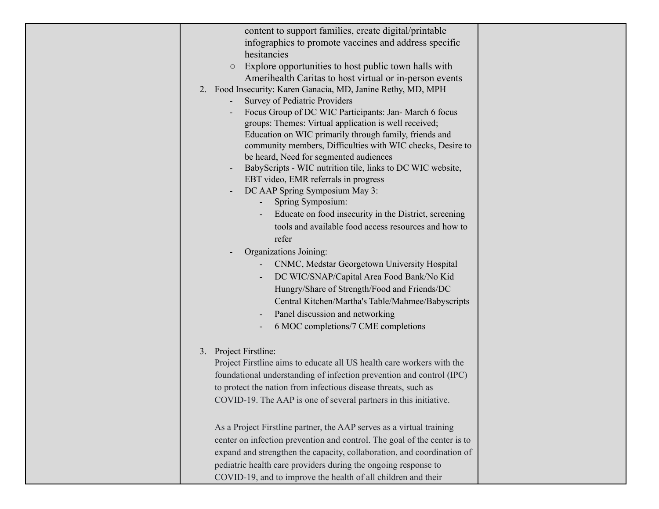| content to support families, create digital/printable<br>infographics to promote vaccines and address specific<br>hesitancies<br>Explore opportunities to host public town halls with<br>$\bigcirc$<br>Amerihealth Caritas to host virtual or in-person events<br>2. Food Insecurity: Karen Ganacia, MD, Janine Rethy, MD, MPH<br>Survey of Pediatric Providers<br>Focus Group of DC WIC Participants: Jan- March 6 focus<br>groups: Themes: Virtual application is well received;<br>Education on WIC primarily through family, friends and<br>community members, Difficulties with WIC checks, Desire to<br>be heard, Need for segmented audiences<br>BabyScripts - WIC nutrition tile, links to DC WIC website,<br>EBT video, EMR referrals in progress<br>DC AAP Spring Symposium May 3:<br>Spring Symposium:<br>Educate on food insecurity in the District, screening<br>tools and available food access resources and how to<br>refer<br>Organizations Joining:<br>CNMC, Medstar Georgetown University Hospital<br>DC WIC/SNAP/Capital Area Food Bank/No Kid<br>Hungry/Share of Strength/Food and Friends/DC<br>Central Kitchen/Martha's Table/Mahmee/Babyscripts<br>Panel discussion and networking<br>6 MOC completions/7 CME completions |  |
|---------------------------------------------------------------------------------------------------------------------------------------------------------------------------------------------------------------------------------------------------------------------------------------------------------------------------------------------------------------------------------------------------------------------------------------------------------------------------------------------------------------------------------------------------------------------------------------------------------------------------------------------------------------------------------------------------------------------------------------------------------------------------------------------------------------------------------------------------------------------------------------------------------------------------------------------------------------------------------------------------------------------------------------------------------------------------------------------------------------------------------------------------------------------------------------------------------------------------------------------------|--|
| 3. Project Firstline:<br>Project Firstline aims to educate all US health care workers with the<br>foundational understanding of infection prevention and control (IPC)<br>to protect the nation from infectious disease threats, such as<br>COVID-19. The AAP is one of several partners in this initiative.                                                                                                                                                                                                                                                                                                                                                                                                                                                                                                                                                                                                                                                                                                                                                                                                                                                                                                                                      |  |
| As a Project Firstline partner, the AAP serves as a virtual training<br>center on infection prevention and control. The goal of the center is to<br>expand and strengthen the capacity, collaboration, and coordination of<br>pediatric health care providers during the ongoing response to<br>COVID-19, and to improve the health of all children and their                                                                                                                                                                                                                                                                                                                                                                                                                                                                                                                                                                                                                                                                                                                                                                                                                                                                                     |  |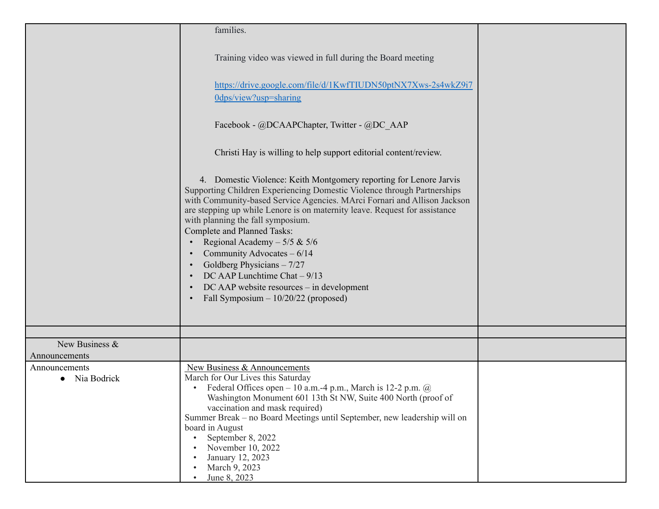|                                 | families.                                                                                                                                                                                                                                                                                                                                                                                                                                                                                                                                                                                                  |  |
|---------------------------------|------------------------------------------------------------------------------------------------------------------------------------------------------------------------------------------------------------------------------------------------------------------------------------------------------------------------------------------------------------------------------------------------------------------------------------------------------------------------------------------------------------------------------------------------------------------------------------------------------------|--|
|                                 | Training video was viewed in full during the Board meeting                                                                                                                                                                                                                                                                                                                                                                                                                                                                                                                                                 |  |
|                                 | https://drive.google.com/file/d/1KwfTIUDN50ptNX7Xws-2s4wkZ9i7<br>Odps/view?usp=sharing                                                                                                                                                                                                                                                                                                                                                                                                                                                                                                                     |  |
|                                 | Facebook - @DCAAPChapter, Twitter - @DC AAP                                                                                                                                                                                                                                                                                                                                                                                                                                                                                                                                                                |  |
|                                 | Christi Hay is willing to help support editorial content/review.                                                                                                                                                                                                                                                                                                                                                                                                                                                                                                                                           |  |
|                                 | 4. Domestic Violence: Keith Montgomery reporting for Lenore Jarvis<br>Supporting Children Experiencing Domestic Violence through Partnerships<br>with Community-based Service Agencies. MArci Fornari and Allison Jackson<br>are stepping up while Lenore is on maternity leave. Request for assistance<br>with planning the fall symposium.<br><b>Complete and Planned Tasks:</b><br>Regional Academy $-5/5$ & $5/6$<br>Community Advocates $-6/14$<br>Goldberg Physicians $-7/27$<br>DC AAP Lunchtime Chat $-9/13$<br>DC AAP website resources – in development<br>Fall Symposium $-10/20/22$ (proposed) |  |
|                                 |                                                                                                                                                                                                                                                                                                                                                                                                                                                                                                                                                                                                            |  |
| New Business &<br>Announcements |                                                                                                                                                                                                                                                                                                                                                                                                                                                                                                                                                                                                            |  |
| Announcements<br>Nia Bodrick    | New Business & Announcements<br>March for Our Lives this Saturday<br>Federal Offices open – 10 a.m.-4 p.m., March is 12-2 p.m. $\omega$<br>$\bullet$<br>Washington Monument 601 13th St NW, Suite 400 North (proof of<br>vaccination and mask required)<br>Summer Break – no Board Meetings until September, new leadership will on<br>board in August<br>September 8, 2022<br>November 10, 2022<br>January 12, 2023<br>March 9, 2023<br>June 8, 2023                                                                                                                                                      |  |